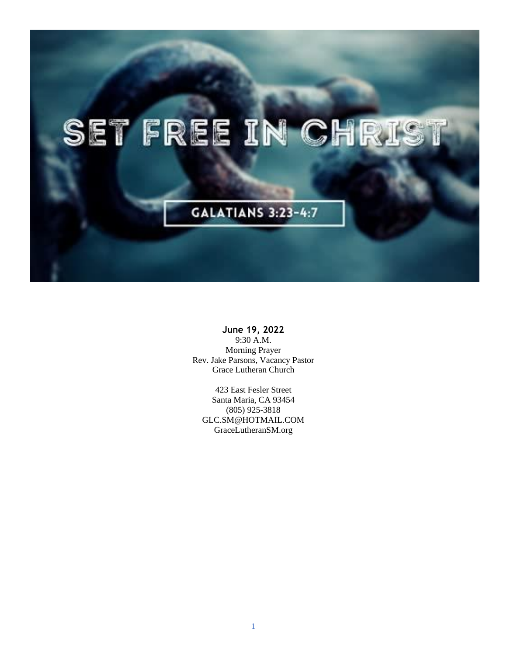

#### **June 19, 2022**

9:30 A.M. Morning Prayer Rev. Jake Parsons, Vacancy Pastor Grace Lutheran Church

423 East Fesler Street Santa Maria, CA 93454 (805) 925-3818 GLC.SM@HOTMAIL.COM GraceLutheranSM.org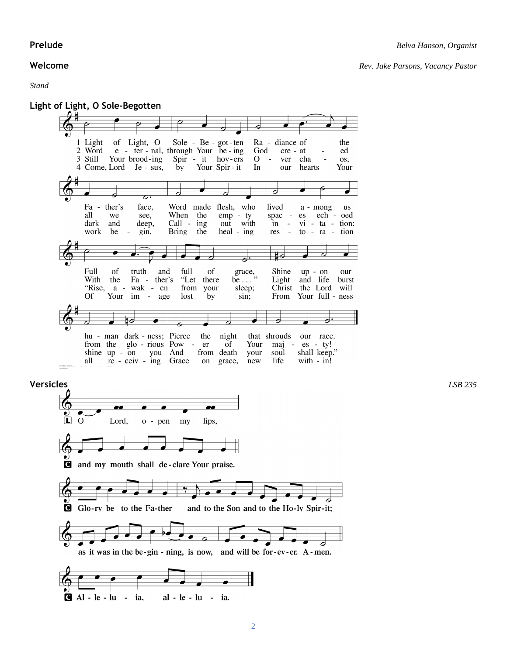#### Welcome

Rev. Jake Parsons, Vacancy Pastor



 $\overline{2}$ 

LSB 235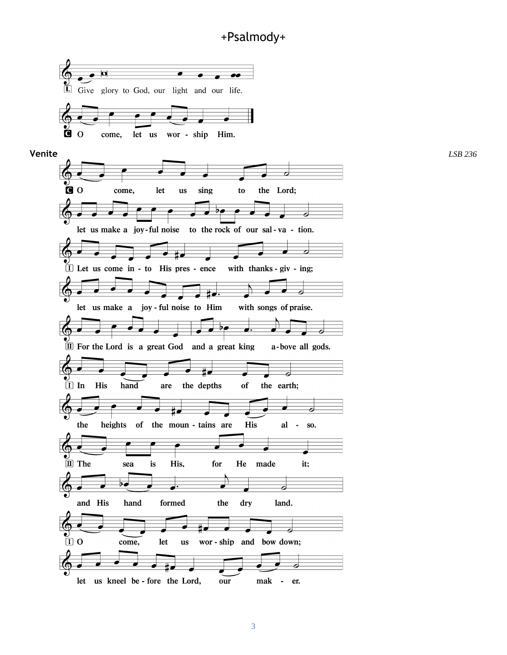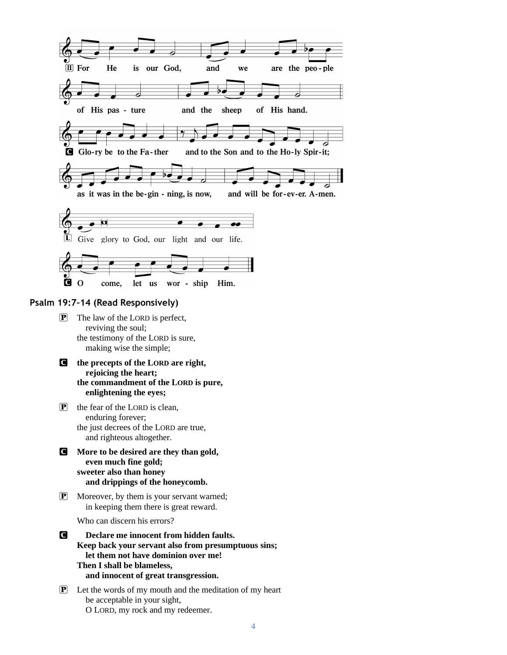

- reviving the soul; the testimony of the LORD is sure, making wise the simple;
- C **the precepts of the LORD are right, rejoicing the heart; the commandment of the LORD is pure, enlightening the eyes;**
- $\boxed{\mathbf{P}}$  the fear of the LORD is clean, enduring forever; the just decrees of the LORD are true, and righteous altogether.
- C **More to be desired are they than gold, even much fine gold; sweeter also than honey and drippings of the honeycomb.**
- $\boxed{\mathbf{P}}$  Moreover, by them is your servant warned; in keeping them there is great reward.

Who can discern his errors?

- C **Declare me innocent from hidden faults. Keep back your servant also from presumptuous sins; let them not have dominion over me! Then I shall be blameless, and innocent of great transgression.**
- P Let the words of my mouth and the meditation of my heart be acceptable in your sight, O LORD, my rock and my redeemer.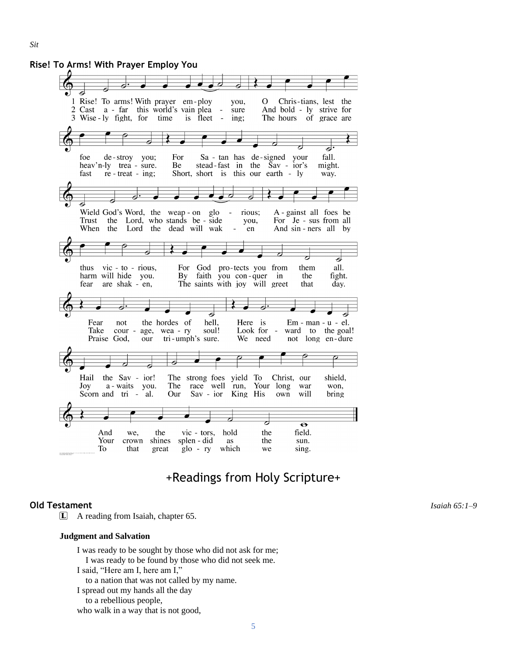**Rise! To Arms! With Prayer Employ You**



# +Readings from Holy Scripture+

#### **Old Testament** *Isaiah 65:1–9*

L A reading from Isaiah, chapter 65.

#### **Judgment and Salvation**

I was ready to be sought by those who did not ask for me; I was ready to be found by those who did not seek me. I said, "Here am I, here am I," to a nation that was not called by my name. I spread out my hands all the day to a rebellious people,

who walk in a way that is not good,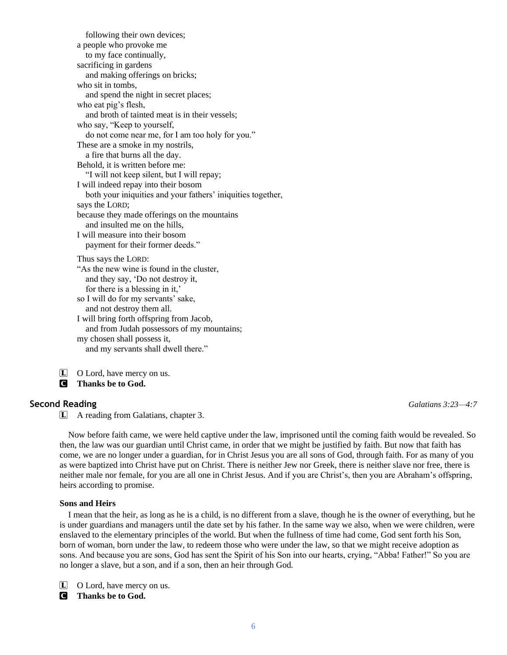6

following their own devices; a people who provoke me to my face continually, sacrificing in gardens and making offerings on bricks; who sit in tombs, and spend the night in secret places; who eat pig's flesh, and broth of tainted meat is in their vessels; who say, "Keep to yourself, do not come near me, for I am too holy for you." These are a smoke in my nostrils, a fire that burns all the day. Behold, it is written before me: "I will not keep silent, but I will repay; I will indeed repay into their bosom both your iniquities and your fathers' iniquities together, says the LORD; because they made offerings on the mountains and insulted me on the hills, I will measure into their bosom payment for their former deeds." Thus says the LORD: "As the new wine is found in the cluster, and they say, 'Do not destroy it, for there is a blessing in it,' so I will do for my servants' sake, and not destroy them all. I will bring forth offspring from Jacob, and from Judah possessors of my mountains; my chosen shall possess it, and my servants shall dwell there."

L O Lord, have mercy on us.

C **Thanks be to God.**

L A reading from Galatians, chapter 3.

Now before faith came, we were held captive under the law, imprisoned until the coming faith would be revealed. So then, the law was our guardian until Christ came, in order that we might be justified by faith. But now that faith has come, we are no longer under a guardian, for in Christ Jesus you are all sons of God, through faith. For as many of you as were baptized into Christ have put on Christ. There is neither Jew nor Greek, there is neither slave nor free, there is neither male nor female, for you are all one in Christ Jesus. And if you are Christ's, then you are Abraham's offspring, heirs according to promise.

#### **Sons and Heirs**

I mean that the heir, as long as he is a child, is no different from a slave, though he is the owner of everything, but he is under guardians and managers until the date set by his father. In the same way we also, when we were children, were enslaved to the elementary principles of the world. But when the fullness of time had come, God sent forth his Son, born of woman, born under the law, to redeem those who were under the law, so that we might receive adoption as sons. And because you are sons, God has sent the Spirit of his Son into our hearts, crying, "Abba! Father!" So you are no longer a slave, but a son, and if a son, then an heir through God.

 $\Box$  O Lord, have mercy on us.

C **Thanks be to God.**

**Second Reading** *Galatians 3:23—4:7*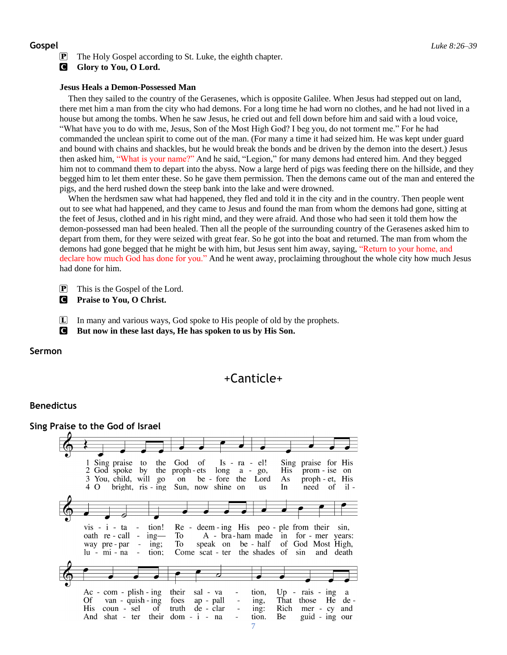**P** The Holy Gospel according to St. Luke, the eighth chapter.

**G** Glory to You, O Lord.

#### **Jesus Heals a Demon-Possessed Man**

Then they sailed to the country of the Gerasenes, which is opposite Galilee. When Jesus had stepped out on land, there met him a man from the city who had demons. For a long time he had worn no clothes, and he had not lived in a house but among the tombs. When he saw Jesus, he cried out and fell down before him and said with a loud voice, "What have you to do with me, Jesus, Son of the Most High God? I beg you, do not torment me." For he had commanded the unclean spirit to come out of the man. (For many a time it had seized him. He was kept under guard and bound with chains and shackles, but he would break the bonds and be driven by the demon into the desert.) Jesus then asked him, "What is your name?" And he said, "Legion," for many demons had entered him. And they begged him not to command them to depart into the abyss. Now a large herd of pigs was feeding there on the hillside, and they begged him to let them enter these. So he gave them permission. Then the demons came out of the man and entered the pigs, and the herd rushed down the steep bank into the lake and were drowned.

When the herdsmen saw what had happened, they fled and told it in the city and in the country. Then people went out to see what had happened, and they came to Jesus and found the man from whom the demons had gone, sitting at the feet of Jesus, clothed and in his right mind, and they were afraid. And those who had seen it told them how the demon-possessed man had been healed. Then all the people of the surrounding country of the Gerasenes asked him to depart from them, for they were seized with great fear. So he got into the boat and returned. The man from whom the demons had gone begged that he might be with him, but Jesus sent him away, saying, "Return to your home, and declare how much God has done for you." And he went away, proclaiming throughout the whole city how much Jesus had done for him.

- P This is the Gospel of the Lord.
- C **Praise to You, O Christ.**
- L In many and various ways, God spoke to His people of old by the prophets.
- C **But now in these last days, He has spoken to us by His Son.**

#### **Sermon**

# +Canticle+

### **Benedictus**

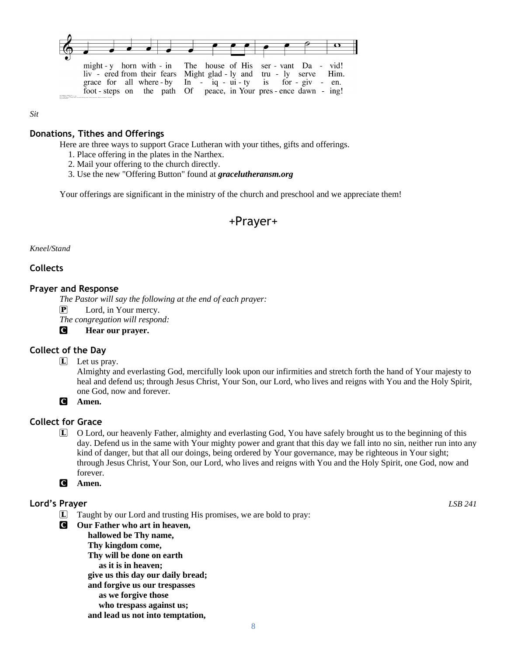

*Sit*

#### **Donations, Tithes and Offerings**

Here are three ways to support Grace Lutheran with your tithes, gifts and offerings.

- 1. Place offering in the plates in the Narthex.
- 2. Mail your offering to the church directly.
- 3. Use the new "Offering Button" found at *gracelutheransm.org*

Your offerings are significant in the ministry of the church and preschool and we appreciate them!

## +Prayer+

#### *Kneel/Stand*

#### **Collects**

#### **Prayer and Response**

*The Pastor will say the following at the end of each prayer:*

P Lord, in Your mercy.

*The congregation will respond:*

C **Hear our prayer.**

#### **Collect of the Day**

 $\boxed{\mathbf{L}}$  Let us pray.

Almighty and everlasting God, mercifully look upon our infirmities and stretch forth the hand of Your majesty to heal and defend us; through Jesus Christ, Your Son, our Lord, who lives and reigns with You and the Holy Spirit, one God, now and forever.

C **Amen.**

#### **Collect for Grace**

- L O Lord, our heavenly Father, almighty and everlasting God, You have safely brought us to the beginning of this day. Defend us in the same with Your mighty power and grant that this day we fall into no sin, neither run into any kind of danger, but that all our doings, being ordered by Your governance, may be righteous in Your sight; through Jesus Christ, Your Son, our Lord, who lives and reigns with You and the Holy Spirit, one God, now and forever.
- C **Amen.**

#### **Lord's Prayer** *LSB 241*

- L Taught by our Lord and trusting His promises, we are bold to pray:
- C **Our Father who art in heaven,**

 **hallowed be Thy name, Thy kingdom come, Thy will be done on earth as it is in heaven; give us this day our daily bread; and forgive us our trespasses as we forgive those who trespass against us; and lead us not into temptation,**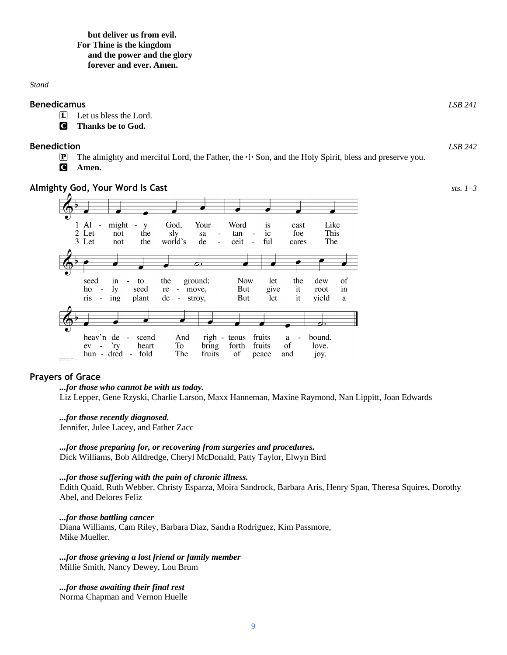#### **but deliver us from evil. For Thine is the kingdom and the power and the glory forever and ever. Amen.**

#### *Stand*

#### **Benedicamus** *LSB 241*

 $\Box$  Let us bless the Lord.

C **Thanks be to God.**

#### **Benediction** *LSB 242*

**P** The almighty and merciful Lord, the Father, the  $\pm$  Son, and the Holy Spirit, bless and preserve you.

C **Amen.**

## **Almighty God, Your Word Is Cast** *sts. 1–3*



### **Prayers of Grace**

*...for those who cannot be with us today.*

Liz Lepper, Gene Rzyski, Charlie Larson, Maxx Hanneman, Maxine Raymond, Nan Lippitt, Joan Edwards

#### *...for those recently diagnosed.*

Jennifer, Julee Lacey, and Father Zacc

#### *...for those preparing for, or recovering from surgeries and procedures.*

Dick Williams, Bob Alldredge, Cheryl McDonald, Patty Taylor, Elwyn Bird

#### *...for those suffering with the pain of chronic illness.*

Edith Quaid, Ruth Webber, Christy Esparza, Moira Sandrock, Barbara Aris, Henry Span, Theresa Squires, Dorothy Abel, and Delores Feliz

*...for those battling cancer* Diana Williams, Cam Riley, Barbara Diaz, Sandra Rodriguez, Kim Passmore, Mike Mueller.

*...for those grieving a lost friend or family member* Millie Smith, Nancy Dewey, Lou Brum

*...for those awaiting their final rest* Norma Chapman and Vernon Huelle